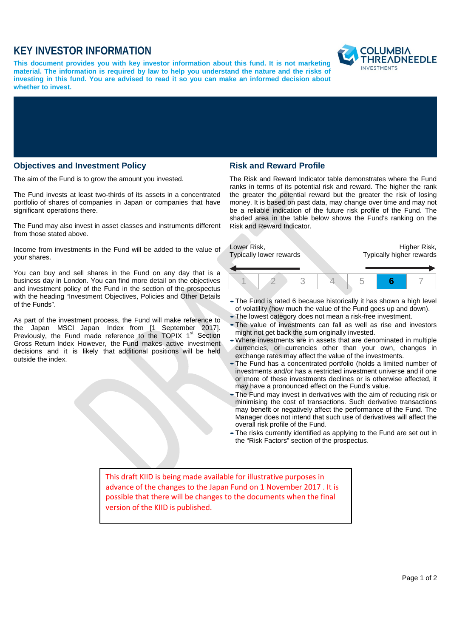# **KEY INVESTOR INFORMATION**

**This document provides you with key investor information about this fund. It is not marketing material. The information is required by law to help you understand the nature and the risks of investing in this fund. You are advised to read it so you can make an informed decision about whether to invest.**



## **Objectives and Investment Policy**

The aim of the Fund is to grow the amount you invested.

The Fund invests at least two-thirds of its assets in a concentrated portfolio of shares of companies in Japan or companies that have significant operations there.

The Fund may also invest in asset classes and instruments different from those stated above.

Income from investments in the Fund will be added to the value of your shares.

You can buy and sell shares in the Fund on any day that is a business day in London. You can find more detail on the objectives and investment policy of the Fund in the section of the prospectus with the heading "Investment Objectives, Policies and Other Details of the Funds".

As part of the investment process, the Fund will make reference to the Japan MSCI Japan Index from [1 September 2017]. Previously, the Fund made reference to the TOPIX  $1<sup>st</sup>$  Section Gross Return Index However, the Fund makes active investment decisions and it is likely that additional positions will be held outside the index.

#### **Risk and Reward Profile**

The Risk and Reward Indicator table demonstrates where the Fund ranks in terms of its potential risk and reward. The higher the rank the greater the potential reward but the greater the risk of losing money. It is based on past data, may change over time and may not be a reliable indication of the future risk profile of the Fund. The shaded area in the table below shows the Fund's ranking on the Risk and Reward Indicator.

| Lower Risk,<br>Typically lower rewards |  |  |  | Higher Risk,<br>Typically higher rewards |  |  |
|----------------------------------------|--|--|--|------------------------------------------|--|--|
|                                        |  |  |  |                                          |  |  |

- •The Fund is rated <sup>6</sup> because historically it has shown <sup>a</sup> high level of volatility (how much the value of the Fund goes up and down).
- •The lowest category does not mean a risk-free investment.
- •The value of investments can fall as well as rise and investors might not get back the sum originally invested.
- •Where investments are in assets that are denominated in multiple currencies, or currencies other than your own, changes in exchange rates may affect the value of the investments.
- •The Fund has a concentrated portfolio (holds a limited number of investments and/or has a restricted investment universe and if one or more of these investments declines or is otherwise affected, it may have a pronounced effect on the Fund's value.
- •The Fund may invest in derivatives with the aim of reducing risk or minimising the cost of transactions. Such derivative transactions may benefit or negatively affect the performance of the Fund. The Manager does not intend that such use of derivatives will affect the overall risk profile of the Fund.
- •The risks currently identified as applying to the Fund are set out in the "Risk Factors" section of the prospectus.

This draft KIID is being made available for illustrative purposes in advance of the changes to the Japan Fund on 1 November 2017 . It is possible that there will be changes to the documents when the final version of the KIID is published.